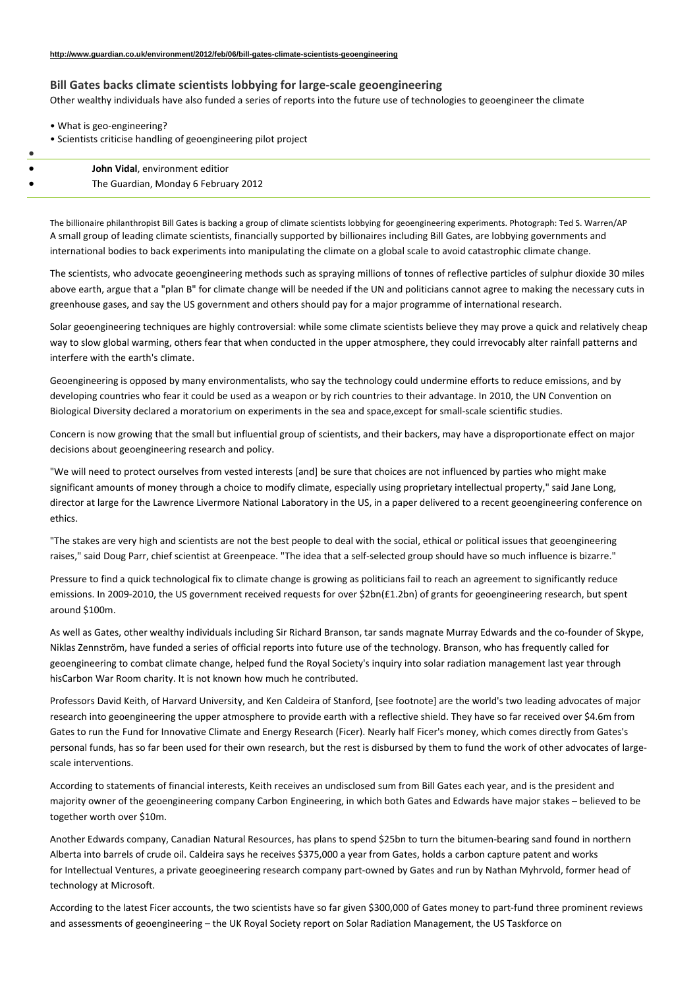## **Bill Gates backs climate scientists lobbying for large‐scale geoengineering**

Other wealthy individuals have also funded a series of reports into the future use of technologies to geoengineer the climate

|  | • What is geo-engineering? |  |
|--|----------------------------|--|
|--|----------------------------|--|

• Scientists criticise handling of geoengineering pilot project

| John Vidal, environment editior      |
|--------------------------------------|
| The Guardian, Monday 6 February 2012 |

The billionaire philanthropist Bill Gates is backing a group of climate scientists lobbying for geoengineering experiments. Photograph: Ted S. Warren/AP A small group of leading climate scientists, financially supported by billionaires including Bill Gates, are lobbying governments and international bodies to back experiments into manipulating the climate on a global scale to avoid catastrophic climate change.

The scientists, who advocate geoengineering methods such as spraying millions of tonnes of reflective particles of sulphur dioxide 30 miles above earth, argue that a "plan B" for climate change will be needed if the UN and politicians cannot agree to making the necessary cuts in greenhouse gases, and say the US government and others should pay for a major programme of international research.

Solar geoengineering techniques are highly controversial: while some climate scientists believe they may prove a quick and relatively cheap way to slow global warming, others fear that when conducted in the upper atmosphere, they could irrevocably alter rainfall patterns and interfere with the earth's climate.

Geoengineering is opposed by many environmentalists, who say the technology could undermine efforts to reduce emissions, and by developing countries who fear it could be used as a weapon or by rich countries to their advantage. In 2010, the UN Convention on Biological Diversity declared a moratorium on experiments in the sea and space, except for small-scale scientific studies.

Concern is now growing that the small but influential group of scientists, and their backers, may have a disproportionate effect on major decisions about geoengineering research and policy.

"We will need to protect ourselves from vested interests [and] be sure that choices are not influenced by parties who might make significant amounts of money through a choice to modify climate, especially using proprietary intellectual property," said Jane Long, director at large for the Lawrence Livermore National Laboratory in the US, in a paper delivered to a recent geoengineering conference on ethics.

"The stakes are very high and scientists are not the best people to deal with the social, ethical or political issues that geoengineering raises," said Doug Parr, chief scientist at Greenpeace. "The idea that a self‐selected group should have so much influence is bizarre."

Pressure to find a quick technological fix to climate change is growing as politicians fail to reach an agreement to significantly reduce emissions. In 2009-2010, the US government received requests for over \$2bn(£1.2bn) of grants for geoengineering research, but spent around \$100m.

As well as Gates, other wealthy individuals including Sir Richard Branson, tar sands magnate Murray Edwards and the co‐founder of Skype, Niklas Zennström, have funded a series of official reports into future use of the technology. Branson, who has frequently called for geoengineering to combat climate change, helped fund the Royal Society's inquiry into solar radiation management last year through hisCarbon War Room charity. It is not known how much he contributed.

Professors David Keith, of Harvard University, and Ken Caldeira of Stanford, [see footnote] are the world's two leading advocates of major research into geoengineering the upper atmosphere to provide earth with a reflective shield. They have so far received over \$4.6m from Gates to run the Fund for Innovative Climate and Energy Research (Ficer). Nearly half Ficer's money, which comes directly from Gates's personal funds, has so far been used for their own research, but the rest is disbursed by them to fund the work of other advocates of largescale interventions.

According to statements of financial interests, Keith receives an undisclosed sum from Bill Gates each year, and is the president and majority owner of the geoengineering company Carbon Engineering, in which both Gates and Edwards have major stakes – believed to be together worth over \$10m.

Another Edwards company, Canadian Natural Resources, has plans to spend \$25bn to turn the bitumen‐bearing sand found in northern Alberta into barrels of crude oil. Caldeira says he receives \$375,000 a year from Gates, holds a carbon capture patent and works for Intellectual Ventures, a private geoegineering research company part‐owned by Gates and run by Nathan Myhrvold, former head of technology at Microsoft.

According to the latest Ficer accounts, the two scientists have so far given \$300,000 of Gates money to part-fund three prominent reviews and assessments of geoengineering – the UK Royal Society report on Solar Radiation Management, the US Taskforce on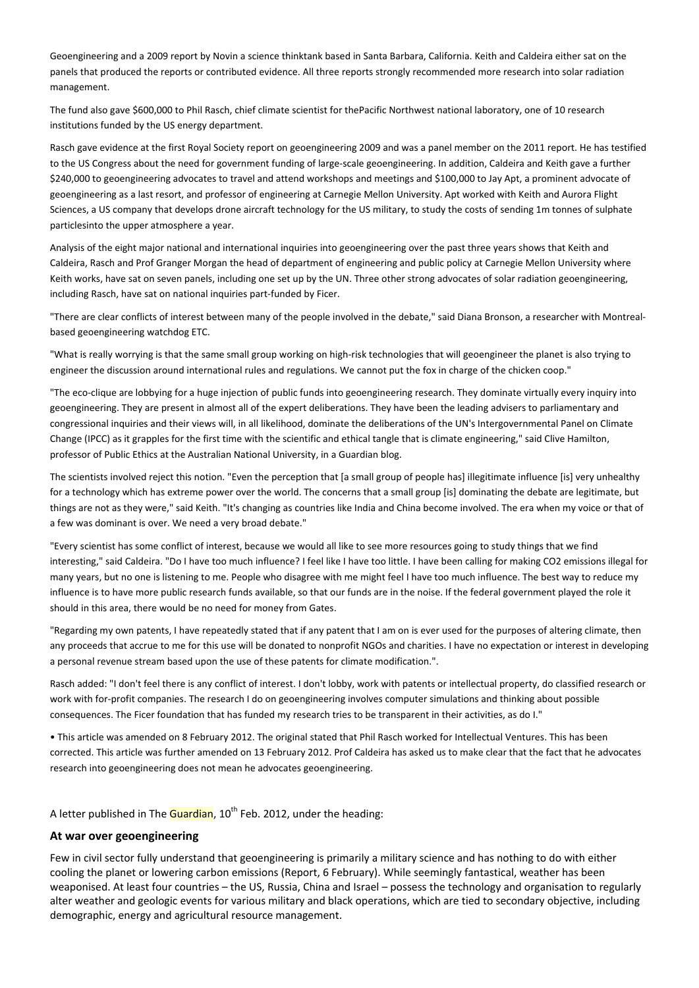Geoengineering and a 2009 report by Novin a science thinktank based in Santa Barbara, California. Keith and Caldeira either sat on the panels that produced the reports or contributed evidence. All three reports strongly recommended more research into solar radiation management.

The fund also gave \$600,000 to Phil Rasch, chief climate scientist for thePacific Northwest national laboratory, one of 10 research institutions funded by the US energy department.

Rasch gave evidence at the first Royal Society report on geoengineering 2009 and was a panel member on the 2011 report. He has testified to the US Congress about the need for government funding of large‐scale geoengineering. In addition, Caldeira and Keith gave a further \$240,000 to geoengineering advocates to travel and attend workshops and meetings and \$100,000 to Jay Apt, a prominent advocate of geoengineering as a last resort, and professor of engineering at Carnegie Mellon University. Apt worked with Keith and Aurora Flight Sciences, a US company that develops drone aircraft technology for the US military, to study the costs of sending 1m tonnes of sulphate particlesinto the upper atmosphere a year.

Analysis of the eight major national and international inquiries into geoengineering over the past three years shows that Keith and Caldeira, Rasch and Prof Granger Morgan the head of department of engineering and public policy at Carnegie Mellon University where Keith works, have sat on seven panels, including one set up by the UN. Three other strong advocates of solar radiation geoengineering, including Rasch, have sat on national inquiries part-funded by Ficer.

"There are clear conflicts of interest between many of the people involved in the debate," said Diana Bronson, a researcher with Montreal‐ based geoengineering watchdog ETC.

"What is really worrying is that the same small group working on high‐risk technologies that will geoengineer the planet is also trying to engineer the discussion around international rules and regulations. We cannot put the fox in charge of the chicken coop."

"The eco-clique are lobbying for a huge injection of public funds into geoengineering research. They dominate virtually every inquiry into geoengineering. They are present in almost all of the expert deliberations. They have been the leading advisers to parliamentary and congressional inquiries and their views will, in all likelihood, dominate the deliberations of the UN's Intergovernmental Panel on Climate Change (IPCC) as it grapples for the first time with the scientific and ethical tangle that is climate engineering," said Clive Hamilton, professor of Public Ethics at the Australian National University, in a Guardian blog.

The scientists involved reject this notion. "Even the perception that [a small group of people has] illegitimate influence [is] very unhealthy for a technology which has extreme power over the world. The concerns that a small group [is] dominating the debate are legitimate, but things are not as they were," said Keith. "It's changing as countries like India and China become involved. The era when my voice or that of a few was dominant is over. We need a very broad debate."

"Every scientist has some conflict of interest, because we would all like to see more resources going to study things that we find interesting," said Caldeira. "Do I have too much influence? I feel like I have too little. I have been calling for making CO2 emissions illegal for many years, but no one is listening to me. People who disagree with me might feel I have too much influence. The best way to reduce my influence is to have more public research funds available, so that our funds are in the noise. If the federal government played the role it should in this area, there would be no need for money from Gates.

"Regarding my own patents, I have repeatedly stated that if any patent that I am on is ever used for the purposes of altering climate, then any proceeds that accrue to me for this use will be donated to nonprofit NGOs and charities. I have no expectation or interest in developing a personal revenue stream based upon the use of these patents for climate modification.".

Rasch added: "I don't feel there is any conflict of interest. I don't lobby, work with patents or intellectual property, do classified research or work with for-profit companies. The research I do on geoengineering involves computer simulations and thinking about possible consequences. The Ficer foundation that has funded my research tries to be transparent in their activities, as do I."

• This article was amended on 8 February 2012. The original stated that Phil Rasch worked for Intellectual Ventures. This has been corrected. This article was further amended on 13 February 2012. Prof Caldeira has asked us to make clear that the fact that he advocates research into geoengineering does not mean he advocates geoengineering.

A letter published in The **Guardian**,  $10<sup>th</sup>$  Feb. 2012, under the heading:

## **At war over geoengineering**

Few in civil sector fully understand that geoengineering is primarily a military science and has nothing to do with either cooling the planet or lowering carbon emissions (Report, 6 February). While seemingly fantastical, weather has been weaponised. At least four countries – the US, Russia, China and Israel – possess the technology and organisation to regularly alter weather and geologic events for various military and black operations, which are tied to secondary objective, including demographic, energy and agricultural resource management.